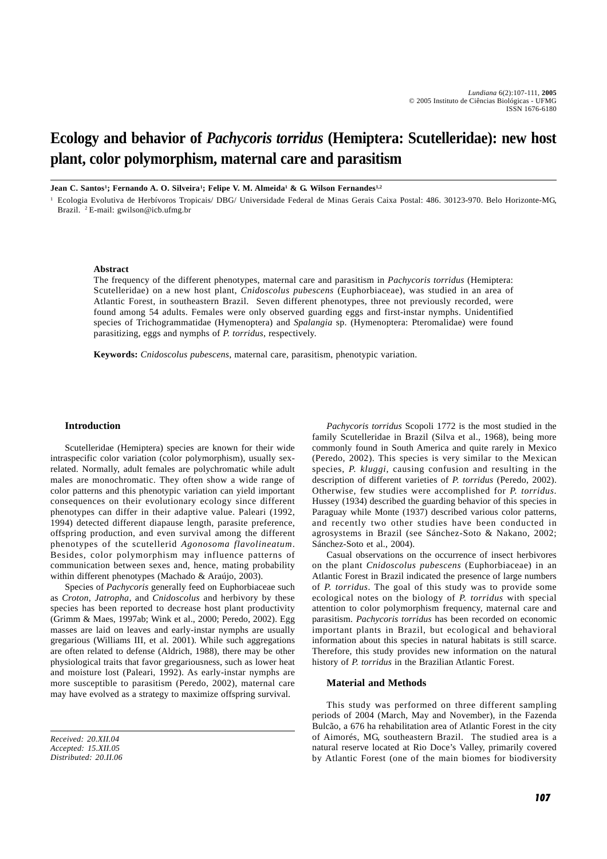# **Ecology and behavior of** *Pachycoris torridus* **(Hemiptera: Scutelleridae): new host plant, color polymorphism, maternal care and parasitism**

**Jean C. Santos<sup>1</sup>; Fernando A. O. Silveira<sup>1</sup>; Felipe V. M. Almeida<sup>1</sup> & G. Wilson Fernandes<sup>1,2</sup>** 

<sup>1</sup> Ecologia Evolutiva de Herbívoros Tropicais/ DBG/ Universidade Federal de Minas Gerais Caixa Postal: 486. 30123-970. Belo Horizonte-MG, Brazil. 2 E-mail: gwilson@icb.ufmg.br

## **Abstract**

The frequency of the different phenotypes, maternal care and parasitism in *Pachycoris torridus* (Hemiptera: Scutelleridae) on a new host plant, *Cnidoscolus pubescens* (Euphorbiaceae), was studied in an area of Atlantic Forest, in southeastern Brazil. Seven different phenotypes, three not previously recorded, were found among 54 adults. Females were only observed guarding eggs and first-instar nymphs. Unidentified species of Trichogrammatidae (Hymenoptera) and *Spalangia* sp. (Hymenoptera: Pteromalidae) were found parasitizing, eggs and nymphs of *P. torridus*, respectively.

**Keywords:** *Cnidoscolus pubescens*, maternal care, parasitism, phenotypic variation.

#### **Introduction**

Scutelleridae (Hemiptera) species are known for their wide intraspecific color variation (color polymorphism), usually sexrelated. Normally, adult females are polychromatic while adult males are monochromatic. They often show a wide range of color patterns and this phenotypic variation can yield important consequences on their evolutionary ecology since different phenotypes can differ in their adaptive value. Paleari (1992, 1994) detected different diapause length, parasite preference, offspring production, and even survival among the different phenotypes of the scutellerid *Agonosoma flavolineatum*. Besides, color polymorphism may influence patterns of communication between sexes and, hence, mating probability within different phenotypes (Machado & Araújo, 2003).

Species of *Pachycoris* generally feed on Euphorbiaceae such as *Croton*, *Jatropha,* and *Cnidoscolus* and herbivory by these species has been reported to decrease host plant productivity (Grimm & Maes, 1997ab; Wink et al., 2000; Peredo, 2002). Egg masses are laid on leaves and early-instar nymphs are usually gregarious (Williams III, et al. 2001). While such aggregations are often related to defense (Aldrich, 1988), there may be other physiological traits that favor gregariousness, such as lower heat and moisture lost (Paleari, 1992). As early-instar nymphs are more susceptible to parasitism (Peredo, 2002), maternal care may have evolved as a strategy to maximize offspring survival.

*Received: 20.XII.04 Accepted: 15.XII.05 Distributed: 20.II.06*

*Pachycoris torridus* Scopoli 1772 is the most studied in the family Scutelleridae in Brazil (Silva et al., 1968), being more commonly found in South America and quite rarely in Mexico (Peredo, 2002). This species is very similar to the Mexican species, *P. kluggi*, causing confusion and resulting in the description of different varieties of *P. torridus* (Peredo, 2002). Otherwise, few studies were accomplished for *P. torridus*. Hussey (1934) described the guarding behavior of this species in Paraguay while Monte (1937) described various color patterns, and recently two other studies have been conducted in agrosystems in Brazil (see Sánchez-Soto & Nakano, 2002; Sánchez-Soto et al., 2004).

Casual observations on the occurrence of insect herbivores on the plant *Cnidoscolus pubescens* (Euphorbiaceae) in an Atlantic Forest in Brazil indicated the presence of large numbers of *P. torridus*. The goal of this study was to provide some ecological notes on the biology of *P. torridus* with special attention to color polymorphism frequency, maternal care and parasitism. *Pachycoris torridus* has been recorded on economic important plants in Brazil, but ecological and behavioral information about this species in natural habitats is still scarce. Therefore, this study provides new information on the natural history of *P. torridus* in the Brazilian Atlantic Forest.

#### **Material and Methods**

This study was performed on three different sampling periods of 2004 (March, May and November), in the Fazenda Bulcão, a 676 ha rehabilitation area of Atlantic Forest in the city of Aimorés, MG, southeastern Brazil. The studied area is a natural reserve located at Rio Doce's Valley, primarily covered by Atlantic Forest (one of the main biomes for biodiversity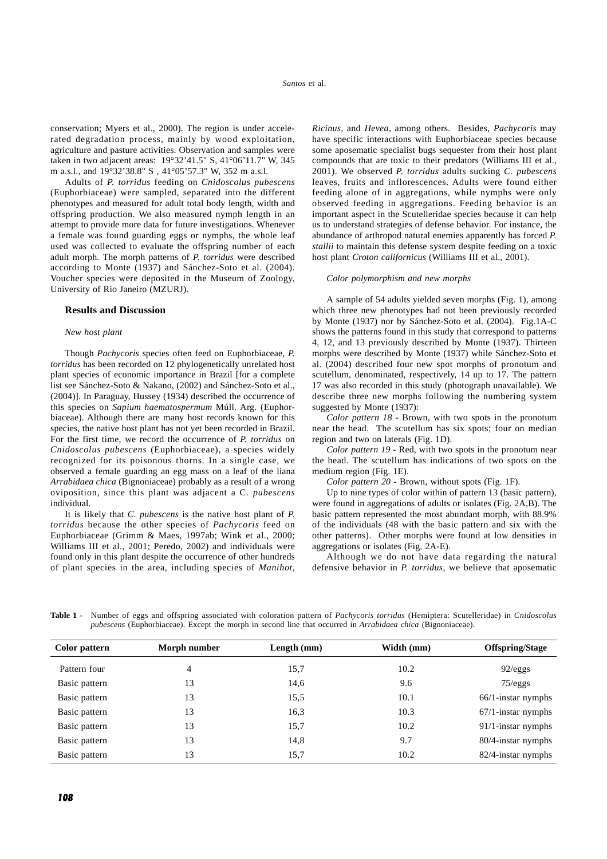conservation; Myers et al., 2000). The region is under accelerated degradation process, mainly by wood exploitation, agriculture and pasture activities. Observation and samples were taken in two adjacent areas: 19°32'41.5" S, 41°06'11.7" W, 345 m a.s.l., and 19°32'38.8" S , 41°05'57.3" W, 352 m a.s.l.

Adults of *P. torridus* feeding on *Cnidoscolus pubescens* (Euphorbiaceae) were sampled, separated into the different phenotypes and measured for adult total body length, width and offspring production. We also measured nymph length in an attempt to provide more data for future investigations. Whenever a female was found guarding eggs or nymphs, the whole leaf used was collected to evaluate the offspring number of each adult morph. The morph patterns of *P. torridus* were described according to Monte (1937) and Sánchez-Soto et al. (2004). Voucher species were deposited in the Museum of Zoology, University of Rio Janeiro (MZURJ).

#### **Results and Discussion**

#### *New host plant*

Though *Pachycoris* species often feed on Euphorbiaceae, *P. torridus* has been recorded on 12 phylogenetically unrelated host plant species of economic importance in Brazil [for a complete list see Sánchez-Soto & Nakano, (2002) and Sánchez-Soto et al., (2004)]. In Paraguay, Hussey (1934) described the occurrence of this species on *Sapium haematospermum* Múll. Arg. (Euphorbiaceae). Although there are many host records known for this species, the native host plant has not yet been recorded in Brazil. For the first time, we record the occurrence of *P. torridus* on *Cnidoscolus pubescens* (Euphorbiaceae), a species widely recognized for its poisonous thorns. In a single case, we observed a female guarding an egg mass on a leaf of the liana *Arrabidaea chica* (Bignoniaceae) probably as a result of a wrong oviposition, since this plant was adjacent a C*. pubescens* individual.

It is likely that *C. pubescens* is the native host plant of *P. torridus* because the other species of *Pachycoris* feed on Euphorbiaceae (Grimm & Maes, 1997ab; Wink et al., 2000; Williams III et al., 2001; Peredo, 2002) and individuals were found only in this plant despite the occurrence of other hundreds of plant species in the area, including species of *Manihot*, *Ricinus,* and *Hevea*, among others. Besides, *Pachycoris* may have specific interactions with Euphorbiaceae species because some aposematic specialist bugs sequester from their host plant compounds that are toxic to their predators (Williams III et al., 2001). We observed *P. torridus* adults sucking *C. pubescens* leaves, fruits and inflorescences. Adults were found either feeding alone of in aggregations, while nymphs were only observed feeding in aggregations. Feeding behavior is an important aspect in the Scutelleridae species because it can help us to understand strategies of defense behavior. For instance, the abundance of arthropod natural enemies apparently has forced *P. stallii* to maintain this defense system despite feeding on a toxic host plant *Croton californicus* (Williams III et al., 2001).

#### *Color polymorphism and new morphs*

A sample of 54 adults yielded seven morphs (Fig. 1), among which three new phenotypes had not been previously recorded by Monte (1937) nor by Sánchez-Soto et al. (2004). Fig.1A-C shows the patterns found in this study that correspond to patterns 4, 12, and 13 previously described by Monte (1937). Thirteen morphs were described by Monte (1937) while Sánchez-Soto et al. (2004) described four new spot morphs of pronotum and scutellum, denominated, respectively, 14 up to 17. The pattern 17 was also recorded in this study (photograph unavailable). We describe three new morphs following the numbering system suggested by Monte (1937):

*Color pattern 18* - Brown, with two spots in the pronotum near the head. The scutellum has six spots; four on median region and two on laterals (Fig. 1D).

*Color pattern 19* - Red, with two spots in the pronotum near the head. The scutellum has indications of two spots on the medium region (Fig. 1E).

*Color pattern 20* - Brown, without spots (Fig. 1F).

Up to nine types of color within of pattern 13 (basic pattern), were found in aggregations of adults or isolates (Fig. 2A,B). The basic pattern represented the most abundant morph, with 88.9% of the individuals (48 with the basic pattern and six with the other patterns). Other morphs were found at low densities in aggregations or isolates (Fig. 2A-E).

Although we do not have data regarding the natural defensive behavior in *P. torridus*, we believe that aposematic

| Table 1 - Number of eggs and offspring associated with coloration pattern of Pachycoris torridus (Hemiptera: Scutelleridae) in Cnidoscolus |
|--------------------------------------------------------------------------------------------------------------------------------------------|
| pubescens (Euphorbiaceae). Except the morph in second line that occurred in Arrabidaea chica (Bignoniaceae).                               |

| Color pattern | Morph number | Length (mm) | Width (mm) | <b>Offspring/Stage</b> |
|---------------|--------------|-------------|------------|------------------------|
| Pattern four  | 4            | 15,7        | 10.2       | 92/eggs                |
| Basic pattern | 13           | 14,6        | 9.6        | 75/eggs                |
| Basic pattern | 13           | 15,5        | 10.1       | $66/1$ -instar nymphs  |
| Basic pattern | 13           | 16,3        | 10.3       | $67/1$ -instar nymphs  |
| Basic pattern | 13           | 15,7        | 10.2       | $91/1$ -instar nymphs  |
| Basic pattern | 13           | 14,8        | 9.7        | 80/4-instar nymphs     |
| Basic pattern | 13           | 15,7        | 10.2       | 82/4-instar nymphs     |
|               |              |             |            |                        |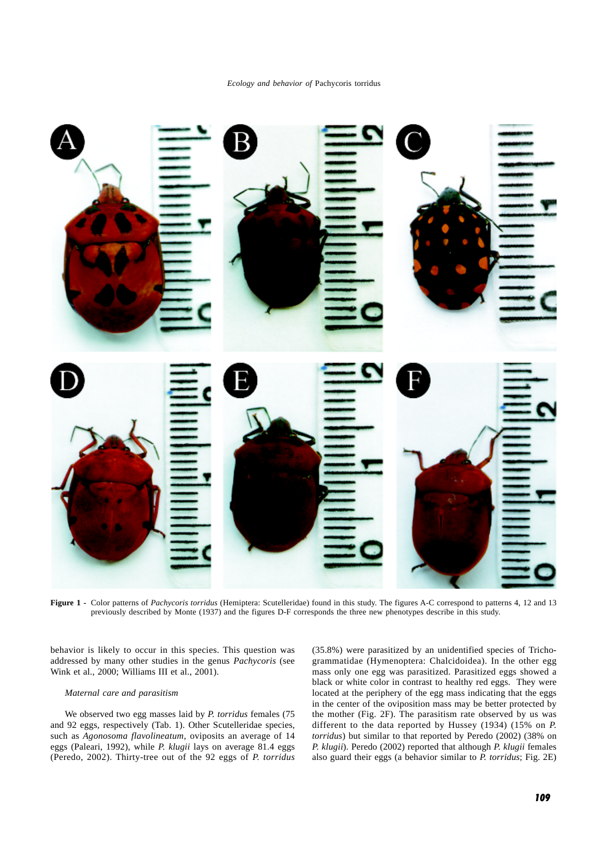*Ecology and behavior of* Pachycoris torridus



**Figure 1 -** Color patterns of *Pachycoris torridus* (Hemiptera: Scutelleridae) found in this study. The figures A-C correspond to patterns 4, 12 and 13 previously described by Monte (1937) and the figures D-F corresponds the three new phenotypes describe in this study.

behavior is likely to occur in this species. This question was addressed by many other studies in the genus *Pachycoris* (see Wink et al., 2000; Williams III et al., 2001).

# *Maternal care and parasitism*

We observed two egg masses laid by *P. torridus* females (75 and 92 eggs, respectively (Tab. 1). Other Scutelleridae species, such as *Agonosoma flavolineatum,* oviposits an average of 14 eggs (Paleari, 1992), while *P. klugii* lays on average 81.4 eggs (Peredo, 2002). Thirty-tree out of the 92 eggs of *P. torridus* (35.8%) were parasitized by an unidentified species of Trichogrammatidae (Hymenoptera: Chalcidoidea). In the other egg mass only one egg was parasitized. Parasitized eggs showed a black or white color in contrast to healthy red eggs. They were located at the periphery of the egg mass indicating that the eggs in the center of the oviposition mass may be better protected by the mother (Fig. 2F). The parasitism rate observed by us was different to the data reported by Hussey (1934) (15% on *P. torridus*) but similar to that reported by Peredo (2002) (38% on *P. klugii*). Peredo (2002) reported that although *P. klugii* females also guard their eggs (a behavior similar to *P. torridus*; Fig. 2E)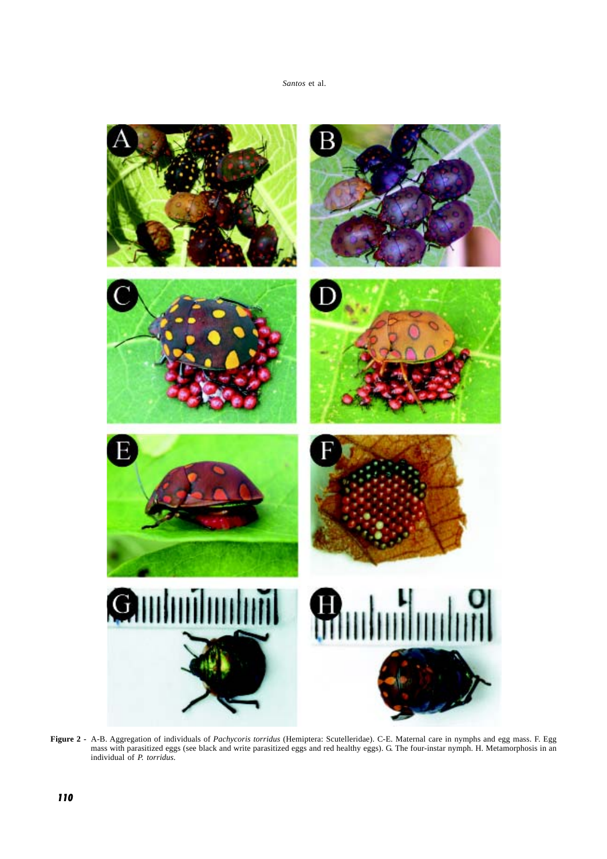# *Santos* et al.



**Figure 2 -** A-B. Aggregation of individuals of *Pachycoris torridus* (Hemiptera: Scutelleridae). C-E. Maternal care in nymphs and egg mass. F. Egg mass with parasitized eggs (see black and write parasitized eggs and red healthy eggs). G. The four-instar nymph. H. Metamorphosis in an individual of *P. torridus.*